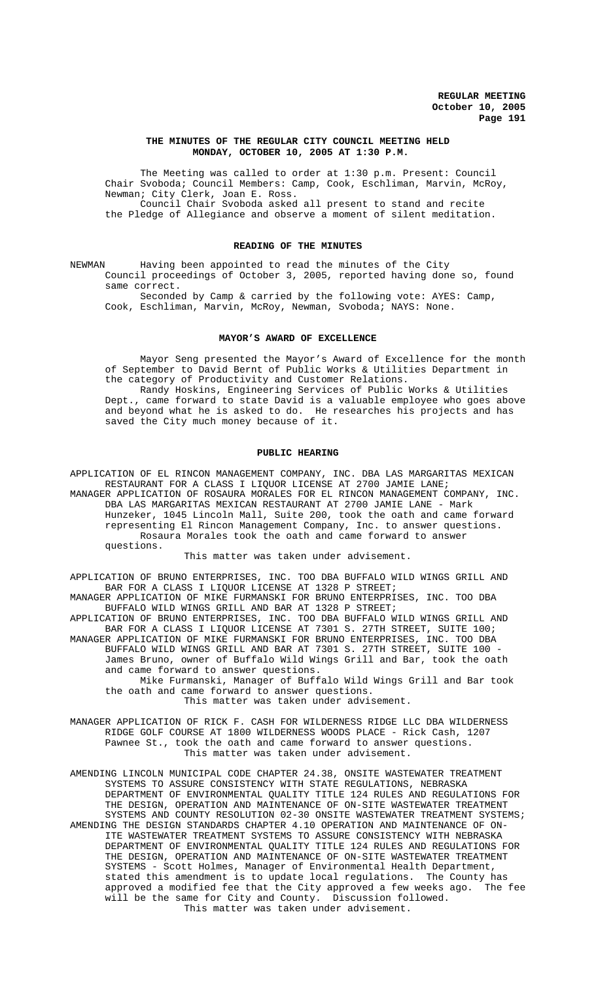## **THE MINUTES OF THE REGULAR CITY COUNCIL MEETING HELD MONDAY, OCTOBER 10, 2005 AT 1:30 P.M.**

The Meeting was called to order at 1:30 p.m. Present: Council Chair Svoboda; Council Members: Camp, Cook, Eschliman, Marvin, McRoy, Newman; City Clerk, Joan E. Ross. Council Chair Svoboda asked all present to stand and recite the Pledge of Allegiance and observe a moment of silent meditation.

### **READING OF THE MINUTES**

NEWMAN Having been appointed to read the minutes of the City Council proceedings of October 3, 2005, reported having done so, found same correct.

Seconded by Camp & carried by the following vote: AYES: Camp, Cook, Eschliman, Marvin, McRoy, Newman, Svoboda; NAYS: None.

## **MAYOR'S AWARD OF EXCELLENCE**

Mayor Seng presented the Mayor's Award of Excellence for the month of September to David Bernt of Public Works & Utilities Department in the category of Productivity and Customer Relations.

Randy Hoskins, Engineering Services of Public Works & Utilities Dept., came forward to state David is a valuable employee who goes above and beyond what he is asked to do. He researches his projects and has saved the City much money because of it.

### **PUBLIC HEARING**

APPLICATION OF EL RINCON MANAGEMENT COMPANY, INC. DBA LAS MARGARITAS MEXICAN RESTAURANT FOR A CLASS I LIQUOR LICENSE AT 2700 JAMIE LANE; MANAGER APPLICATION OF ROSAURA MORALES FOR EL RINCON MANAGEMENT COMPANY, INC. DBA LAS MARGARITAS MEXICAN RESTAURANT AT 2700 JAMIE LANE - Mark

Hunzeker, 1045 Lincoln Mall, Suite 200, took the oath and came forward representing El Rincon Management Company, Inc. to answer questions. Rosaura Morales took the oath and came forward to answer questions.

This matter was taken under advisement.

APPLICATION OF BRUNO ENTERPRISES, INC. TOO DBA BUFFALO WILD WINGS GRILL AND BAR FOR A CLASS I LIQUOR LICENSE AT 1328 P STREET; MANAGER APPLICATION OF MIKE FURMANSKI FOR BRUNO ENTERPRISES, INC. TOO DBA

BUFFALO WILD WINGS GRILL AND BAR AT 1328 P STREET; APPLICATION OF BRUNO ENTERPRISES, INC. TOO DBA BUFFALO WILD WINGS GRILL AND

BAR FOR A CLASS I LIQUOR LICENSE AT 7301 S. 27TH STREET, SUITE 100; MANAGER APPLICATION OF MIKE FURMANSKI FOR BRUNO ENTERPRISES, INC. TOO DBA BUFFALO WILD WINGS GRILL AND BAR AT 7301 S. 27TH STREET, SUITE 100 -

James Bruno, owner of Buffalo Wild Wings Grill and Bar, took the oath and came forward to answer questions.

Mike Furmanski, Manager of Buffalo Wild Wings Grill and Bar took the oath and came forward to answer questions. This matter was taken under advisement.

MANAGER APPLICATION OF RICK F. CASH FOR WILDERNESS RIDGE LLC DBA WILDERNESS RIDGE GOLF COURSE AT 1800 WILDERNESS WOODS PLACE - Rick Cash, 1207 Pawnee St., took the oath and came forward to answer questions. This matter was taken under advisement.

AMENDING LINCOLN MUNICIPAL CODE CHAPTER 24.38, ONSITE WASTEWATER TREATMENT SYSTEMS TO ASSURE CONSISTENCY WITH STATE REGULATIONS, NEBRASKA DEPARTMENT OF ENVIRONMENTAL QUALITY TITLE 124 RULES AND REGULATIONS FOR THE DESIGN, OPERATION AND MAINTENANCE OF ON-SITE WASTEWATER TREATMENT SYSTEMS AND COUNTY RESOLUTION 02-30 ONSITE WASTEWATER TREATMENT SYSTEMS; AMENDING THE DESIGN STANDARDS CHAPTER 4.10 OPERATION AND MAINTENANCE OF ON-ITE WASTEWATER TREATMENT SYSTEMS TO ASSURE CONSISTENCY WITH NEBRASKA DEPARTMENT OF ENVIRONMENTAL QUALITY TITLE 124 RULES AND REGULATIONS FOR THE DESIGN, OPERATION AND MAINTENANCE OF ON-SITE WASTEWATER TREATMENT SYSTEMS - Scott Holmes, Manager of Environmental Health Department, stated this amendment is to update local regulations. The County has<br>approved a modified fee that the City approved a few weeks ago. The fee approved a modified fee that the City approved a few weeks ago. The fee will be the same for City and County. Discussion followed. This matter was taken under advisement.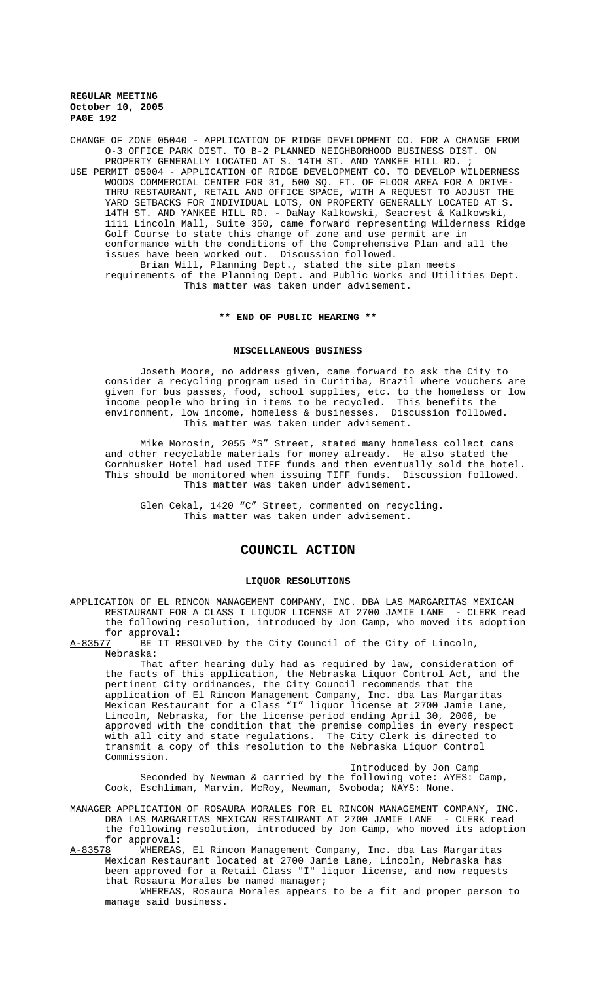CHANGE OF ZONE 05040 - APPLICATION OF RIDGE DEVELOPMENT CO. FOR A CHANGE FROM O-3 OFFICE PARK DIST. TO B-2 PLANNED NEIGHBORHOOD BUSINESS DIST. ON PROPERTY GENERALLY LOCATED AT S. 14TH ST. AND YANKEE HILL RD. ; USE PERMIT 05004 - APPLICATION OF RIDGE DEVELOPMENT CO. TO DEVELOP WILDERNESS WOODS COMMERCIAL CENTER FOR 31, 500 SQ. FT. OF FLOOR AREA FOR A DRIVE-THRU RESTAURANT, RETAIL AND OFFICE SPACE, WITH A REQUEST TO ADJUST THE YARD SETBACKS FOR INDIVIDUAL LOTS, ON PROPERTY GENERALLY LOCATED AT S. 14TH ST. AND YANKEE HILL RD. - DaNay Kalkowski, Seacrest & Kalkowski, 1111 Lincoln Mall, Suite 350, came forward representing Wilderness Ridge Golf Course to state this change of zone and use permit are in conformance with the conditions of the Comprehensive Plan and all the issues have been worked out. Discussion followed. Brian Will, Planning Dept., stated the site plan meets requirements of the Planning Dept. and Public Works and Utilities Dept. This matter was taken under advisement.

### **\*\* END OF PUBLIC HEARING \*\***

### **MISCELLANEOUS BUSINESS**

Joseth Moore, no address given, came forward to ask the City to consider a recycling program used in Curitiba, Brazil where vouchers are given for bus passes, food, school supplies, etc. to the homeless or low income people who bring in items to be recycled. This benefits the environment, low income, homeless & businesses. Discussion followed. This matter was taken under advisement.

Mike Morosin, 2055 "S" Street, stated many homeless collect cans and other recyclable materials for money already. He also stated the Cornhusker Hotel had used TIFF funds and then eventually sold the hotel. This should be monitored when issuing TIFF funds. Discussion followed. This matter was taken under advisement.

Glen Cekal, 1420 "C" Street, commented on recycling. This matter was taken under advisement.

## **COUNCIL ACTION**

### **LIQUOR RESOLUTIONS**

APPLICATION OF EL RINCON MANAGEMENT COMPANY, INC. DBA LAS MARGARITAS MEXICAN RESTAURANT FOR A CLASS I LIQUOR LICENSE AT 2700 JAMIE LANE - CLERK read the following resolution, introduced by Jon Camp, who moved its adoption for approval:

BE IT RESOLVED by the City Council of the City of Lincoln, Nebraska:

That after hearing duly had as required by law, consideration of the facts of this application, the Nebraska Liquor Control Act, and the pertinent City ordinances, the City Council recommends that the application of El Rincon Management Company, Inc. dba Las Margaritas Mexican Restaurant for a Class "I" liquor license at 2700 Jamie Lane, Lincoln, Nebraska, for the license period ending April 30, 2006, be approved with the condition that the premise complies in every respect with all city and state regulations. The City Clerk is directed to transmit a copy of this resolution to the Nebraska Liquor Control Commission.

Introduced by Jon Camp Seconded by Newman & carried by the following vote: AYES: Camp, Cook, Eschliman, Marvin, McRoy, Newman, Svoboda; NAYS: None.

MANAGER APPLICATION OF ROSAURA MORALES FOR EL RINCON MANAGEMENT COMPANY, INC. DBA LAS MARGARITAS MEXICAN RESTAURANT AT 2700 JAMIE LANE - CLERK read the following resolution, introduced by Jon Camp, who moved its adoption for approval:<br>A-83578 WHEREAS

WHEREAS, El Rincon Management Company, Inc. dba Las Margaritas Mexican Restaurant located at 2700 Jamie Lane, Lincoln, Nebraska has been approved for a Retail Class "I" liquor license, and now requests that Rosaura Morales be named manager;

WHEREAS, Rosaura Morales appears to be a fit and proper person to manage said business.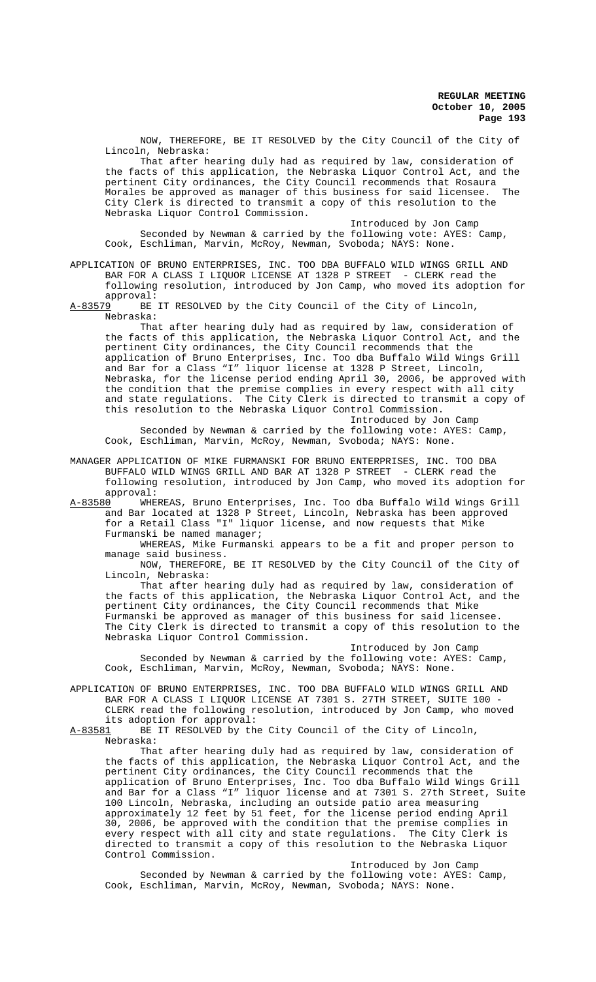NOW, THEREFORE, BE IT RESOLVED by the City Council of the City of Lincoln, Nebraska:

That after hearing duly had as required by law, consideration of the facts of this application, the Nebraska Liquor Control Act, and the pertinent City ordinances, the City Council recommends that Rosaura Morales be approved as manager of this business for said licensee. The City Clerk is directed to transmit a copy of this resolution to the Nebraska Liquor Control Commission.

Introduced by Jon Camp

Seconded by Newman & carried by the following vote: AYES: Camp, Cook, Eschliman, Marvin, McRoy, Newman, Svoboda; NAYS: None.

APPLICATION OF BRUNO ENTERPRISES, INC. TOO DBA BUFFALO WILD WINGS GRILL AND BAR FOR A CLASS I LIQUOR LICENSE AT 1328 P STREET - CLERK read the following resolution, introduced by Jon Camp, who moved its adoption for approval:

A-83579 BE IT RESOLVED by the City Council of the City of Lincoln, Nebraska:

That after hearing duly had as required by law, consideration of the facts of this application, the Nebraska Liquor Control Act, and the pertinent City ordinances, the City Council recommends that the application of Bruno Enterprises, Inc. Too dba Buffalo Wild Wings Grill and Bar for a Class "I" liquor license at 1328 P Street, Lincoln, Nebraska, for the license period ending April 30, 2006, be approved with the condition that the premise complies in every respect with all city and state regulations. The City Clerk is directed to transmit a copy of The City Clerk is directed to transmit a copy of this resolution to the Nebraska Liquor Control Commission.

Introduced by Jon Camp Seconded by Newman & carried by the following vote: AYES: Camp, Cook, Eschliman, Marvin, McRoy, Newman, Svoboda; NAYS: None.

MANAGER APPLICATION OF MIKE FURMANSKI FOR BRUNO ENTERPRISES, INC. TOO DBA BUFFALO WILD WINGS GRILL AND BAR AT 1328 P STREET - CLERK read the following resolution, introduced by Jon Camp, who moved its adoption for approval:

A-83580 WHEREAS, Bruno Enterprises, Inc. Too dba Buffalo Wild Wings Grill and Bar located at 1328 P Street, Lincoln, Nebraska has been approved for a Retail Class "I" liquor license, and now requests that Mike Furmanski be named manager;

WHEREAS, Mike Furmanski appears to be a fit and proper person to manage said business.

NOW, THEREFORE, BE IT RESOLVED by the City Council of the City of Lincoln, Nebraska:

That after hearing duly had as required by law, consideration of the facts of this application, the Nebraska Liquor Control Act, and the pertinent City ordinances, the City Council recommends that Mike Furmanski be approved as manager of this business for said licensee. The City Clerk is directed to transmit a copy of this resolution to the Nebraska Liquor Control Commission.

Introduced by Jon Camp Seconded by Newman & carried by the following vote: AYES: Camp, Cook, Eschliman, Marvin, McRoy, Newman, Svoboda; NAYS: None.

APPLICATION OF BRUNO ENTERPRISES, INC. TOO DBA BUFFALO WILD WINGS GRILL AND BAR FOR A CLASS I LIQUOR LICENSE AT 7301 S. 27TH STREET, SUITE 100 - CLERK read the following resolution, introduced by Jon Camp, who moved its adoption for approval:<br>A-83581 BE IT RESOLVED by the

BE IT RESOLVED by the City Council of the City of Lincoln, Nebraska:

That after hearing duly had as required by law, consideration of the facts of this application, the Nebraska Liquor Control Act, and the pertinent City ordinances, the City Council recommends that the application of Bruno Enterprises, Inc. Too dba Buffalo Wild Wings Grill and Bar for a Class "I" liquor license and at 7301 S. 27th Street, Suite 100 Lincoln, Nebraska, including an outside patio area measuring approximately 12 feet by 51 feet, for the license period ending April 30, 2006, be approved with the condition that the premise complies in every respect with all city and state regulations. The City Clerk is directed to transmit a copy of this resolution to the Nebraska Liquor Control Commission.

Introduced by Jon Camp Seconded by Newman & carried by the following vote: AYES: Camp, Cook, Eschliman, Marvin, McRoy, Newman, Svoboda; NAYS: None.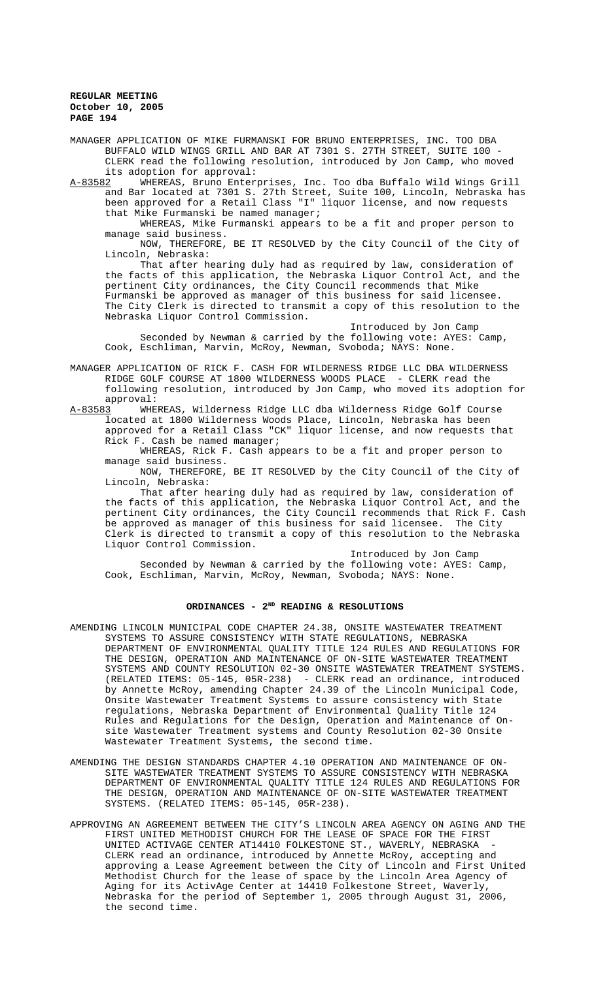MANAGER APPLICATION OF MIKE FURMANSKI FOR BRUNO ENTERPRISES, INC. TOO DBA BUFFALO WILD WINGS GRILL AND BAR AT 7301 S. 27TH STREET, SUITE 100 - CLERK read the following resolution, introduced by Jon Camp, who moved its adoption for approval:

A-83582 WHEREAS, Bruno Enterprises, Inc. Too dba Buffalo Wild Wings Grill and Bar located at 7301 S. 27th Street, Suite 100, Lincoln, Nebraska has been approved for a Retail Class "I" liquor license, and now requests that Mike Furmanski be named manager;

WHEREAS, Mike Furmanski appears to be a fit and proper person to manage said business.

NOW, THEREFORE, BE IT RESOLVED by the City Council of the City of Lincoln, Nebraska:

That after hearing duly had as required by law, consideration of the facts of this application, the Nebraska Liquor Control Act, and the pertinent City ordinances, the City Council recommends that Mike Furmanski be approved as manager of this business for said licensee. The City Clerk is directed to transmit a copy of this resolution to the Nebraska Liquor Control Commission.

Introduced by Jon Camp Seconded by Newman & carried by the following vote: AYES: Camp, Cook, Eschliman, Marvin, McRoy, Newman, Svoboda; NAYS: None.

MANAGER APPLICATION OF RICK F. CASH FOR WILDERNESS RIDGE LLC DBA WILDERNESS RIDGE GOLF COURSE AT 1800 WILDERNESS WOODS PLACE - CLERK read the following resolution, introduced by Jon Camp, who moved its adoption for approval:<br>A-83583 WHE

WHEREAS, Wilderness Ridge LLC dba Wilderness Ridge Golf Course located at 1800 Wilderness Woods Place, Lincoln, Nebraska has been approved for a Retail Class "CK" liquor license, and now requests that Rick F. Cash be named manager;

WHEREAS, Rick F. Cash appears to be a fit and proper person to manage said business.

NOW, THEREFORE, BE IT RESOLVED by the City Council of the City of Lincoln, Nebraska:

That after hearing duly had as required by law, consideration of the facts of this application, the Nebraska Liquor Control Act, and the pertinent City ordinances, the City Council recommends that Rick F. Cash<br>be approved as manager of this business for said licensee. The City be approved as manager of this business for said licensee. Clerk is directed to transmit a copy of this resolution to the Nebraska Liquor Control Commission.

Introduced by Jon Camp Seconded by Newman & carried by the following vote: AYES: Camp, Cook, Eschliman, Marvin, McRoy, Newman, Svoboda; NAYS: None.

## **ORDINANCES - 2ND READING & RESOLUTIONS**

- AMENDING LINCOLN MUNICIPAL CODE CHAPTER 24.38, ONSITE WASTEWATER TREATMENT SYSTEMS TO ASSURE CONSISTENCY WITH STATE REGULATIONS, NEBRASKA DEPARTMENT OF ENVIRONMENTAL QUALITY TITLE 124 RULES AND REGULATIONS FOR THE DESIGN, OPERATION AND MAINTENANCE OF ON-SITE WASTEWATER TREATMENT SYSTEMS AND COUNTY RESOLUTION 02-30 ONSITE WASTEWATER TREATMENT SYSTEMS. (RELATED ITEMS: 05-145, 05R-238) - CLERK read an ordinance, introduced by Annette McRoy, amending Chapter 24.39 of the Lincoln Municipal Code, Onsite Wastewater Treatment Systems to assure consistency with State regulations, Nebraska Department of Environmental Quality Title 124 Rules and Regulations for the Design, Operation and Maintenance of Onsite Wastewater Treatment systems and County Resolution 02-30 Onsite Wastewater Treatment Systems, the second time.
- AMENDING THE DESIGN STANDARDS CHAPTER 4.10 OPERATION AND MAINTENANCE OF ON-SITE WASTEWATER TREATMENT SYSTEMS TO ASSURE CONSISTENCY WITH NEBRASKA DEPARTMENT OF ENVIRONMENTAL QUALITY TITLE 124 RULES AND REGULATIONS FOR THE DESIGN, OPERATION AND MAINTENANCE OF ON-SITE WASTEWATER TREATMENT SYSTEMS. (RELATED ITEMS: 05-145, 05R-238).
- APPROVING AN AGREEMENT BETWEEN THE CITY'S LINCOLN AREA AGENCY ON AGING AND THE FIRST UNITED METHODIST CHURCH FOR THE LEASE OF SPACE FOR THE FIRST UNITED ACTIVAGE CENTER AT14410 FOLKESTONE ST., WAVERLY, NEBRASKA - CLERK read an ordinance, introduced by Annette McRoy, accepting and approving a Lease Agreement between the City of Lincoln and First United Methodist Church for the lease of space by the Lincoln Area Agency of Aging for its ActivAge Center at 14410 Folkestone Street, Waverly, Nebraska for the period of September 1, 2005 through August 31, 2006, the second time.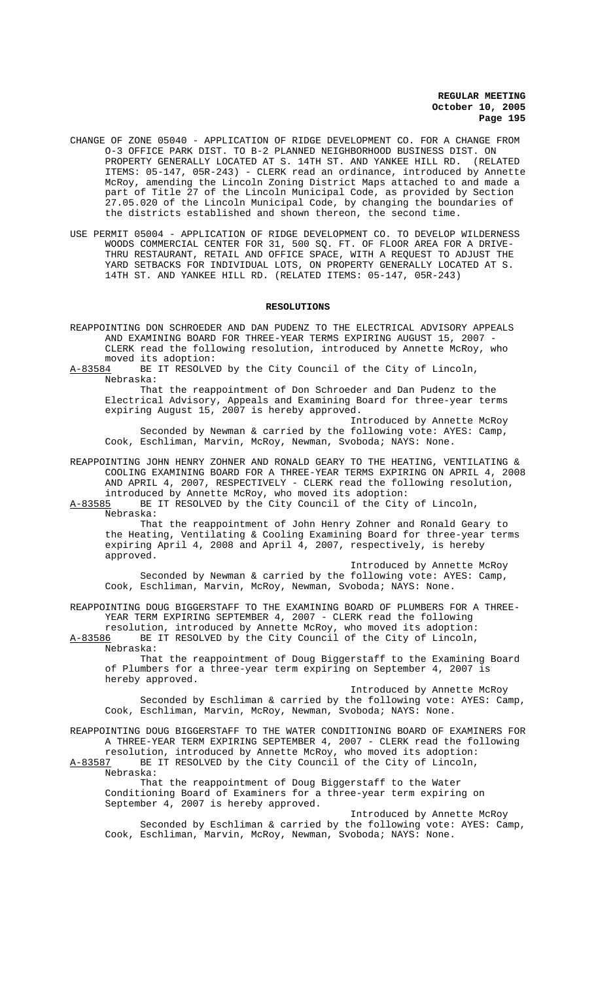- CHANGE OF ZONE 05040 APPLICATION OF RIDGE DEVELOPMENT CO. FOR A CHANGE FROM O-3 OFFICE PARK DIST. TO B-2 PLANNED NEIGHBORHOOD BUSINESS DIST. ON PROPERTY GENERALLY LOCATED AT S. 14TH ST. AND YANKEE HILL RD. (RELATED ITEMS: 05-147, 05R-243) - CLERK read an ordinance, introduced by Annette McRoy, amending the Lincoln Zoning District Maps attached to and made a part of Title 27 of the Lincoln Municipal Code, as provided by Section 27.05.020 of the Lincoln Municipal Code, by changing the boundaries of the districts established and shown thereon, the second time.
- USE PERMIT 05004 APPLICATION OF RIDGE DEVELOPMENT CO. TO DEVELOP WILDERNESS WOODS COMMERCIAL CENTER FOR 31, 500 SQ. FT. OF FLOOR AREA FOR A DRIVE-THRU RESTAURANT, RETAIL AND OFFICE SPACE, WITH A REQUEST TO ADJUST THE YARD SETBACKS FOR INDIVIDUAL LOTS, ON PROPERTY GENERALLY LOCATED AT S. 14TH ST. AND YANKEE HILL RD. (RELATED ITEMS: 05-147, 05R-243)

#### **RESOLUTIONS**

REAPPOINTING DON SCHROEDER AND DAN PUDENZ TO THE ELECTRICAL ADVISORY APPEALS AND EXAMINING BOARD FOR THREE-YEAR TERMS EXPIRING AUGUST 15, 2007 - CLERK read the following resolution, introduced by Annette McRoy, who moved its adoption:

A-83584 BE IT RESOLVED by the City Council of the City of Lincoln, Nebraska:

That the reappointment of Don Schroeder and Dan Pudenz to the Electrical Advisory, Appeals and Examining Board for three-year terms expiring August 15, 2007 is hereby approved.

Introduced by Annette McRoy Seconded by Newman & carried by the following vote: AYES: Camp, Cook, Eschliman, Marvin, McRoy, Newman, Svoboda; NAYS: None.

REAPPOINTING JOHN HENRY ZOHNER AND RONALD GEARY TO THE HEATING, VENTILATING & COOLING EXAMINING BOARD FOR A THREE-YEAR TERMS EXPIRING ON APRIL 4, 2008 AND APRIL 4, 2007, RESPECTIVELY - CLERK read the following resolution, introduced by Annette McRoy, who moved its adoption:

A-83585 BE IT RESOLVED by the City Council of the City of Lincoln, Nebraska:

That the reappointment of John Henry Zohner and Ronald Geary to the Heating, Ventilating & Cooling Examining Board for three-year terms expiring April 4, 2008 and April 4, 2007, respectively, is hereby approved.

Introduced by Annette McRoy Seconded by Newman & carried by the following vote: AYES: Camp, Cook, Eschliman, Marvin, McRoy, Newman, Svoboda; NAYS: None.

REAPPOINTING DOUG BIGGERSTAFF TO THE EXAMINING BOARD OF PLUMBERS FOR A THREE-YEAR TERM EXPIRING SEPTEMBER 4, 2007 - CLERK read the following

resolution, introduced by Annette McRoy, who moved its adoption:<br>A-83586 BE IT RESOLVED by the City Council of the City of Lincoln, BE IT RESOLVED by the City Council of the City of Lincoln, Nebraska:

That the reappointment of Doug Biggerstaff to the Examining Board of Plumbers for a three-year term expiring on September 4, 2007 is hereby approved.

Introduced by Annette McRoy Seconded by Eschliman & carried by the following vote: AYES: Camp, Cook, Eschliman, Marvin, McRoy, Newman, Svoboda; NAYS: None.

REAPPOINTING DOUG BIGGERSTAFF TO THE WATER CONDITIONING BOARD OF EXAMINERS FOR A THREE-YEAR TERM EXPIRING SEPTEMBER 4, 2007 - CLERK read the following resolution, introduced by Annette McRoy, who moved its adoption:

A-83587 BE IT RESOLVED by the City Council of the City of Lincoln, Nebraska:

That the reappointment of Doug Biggerstaff to the Water Conditioning Board of Examiners for a three-year term expiring on September 4, 2007 is hereby approved.

Introduced by Annette McRoy Seconded by Eschliman & carried by the following vote: AYES: Camp, Cook, Eschliman, Marvin, McRoy, Newman, Svoboda; NAYS: None.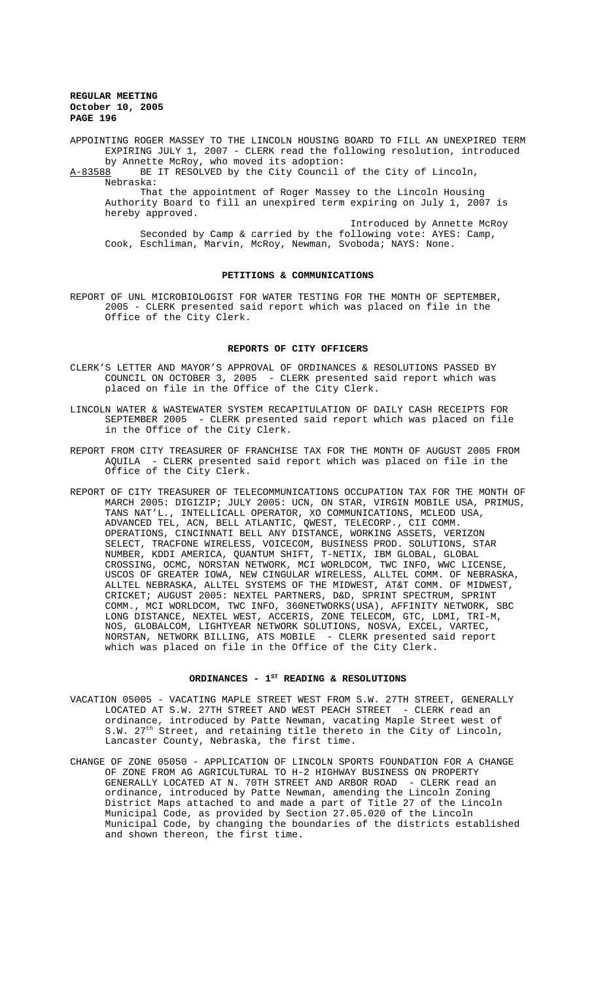APPOINTING ROGER MASSEY TO THE LINCOLN HOUSING BOARD TO FILL AN UNEXPIRED TERM EXPIRING JULY 1, 2007 - CLERK read the following resolution, introduced by Annette McRoy, who moved its adoption:

A-83588 BE IT RESOLVED by the City Council of the City of Lincoln, Nebraska:

That the appointment of Roger Massey to the Lincoln Housing Authority Board to fill an unexpired term expiring on July 1, 2007 is hereby approved.

Introduced by Annette McRoy Seconded by Camp & carried by the following vote: AYES: Camp, Cook, Eschliman, Marvin, McRoy, Newman, Svoboda; NAYS: None.

### **PETITIONS & COMMUNICATIONS**

REPORT OF UNL MICROBIOLOGIST FOR WATER TESTING FOR THE MONTH OF SEPTEMBER, 2005 - CLERK presented said report which was placed on file in the Office of the City Clerk.

### **REPORTS OF CITY OFFICERS**

- CLERK'S LETTER AND MAYOR'S APPROVAL OF ORDINANCES & RESOLUTIONS PASSED BY COUNCIL ON OCTOBER 3, 2005 - CLERK presented said report which was placed on file in the Office of the City Clerk.
- LINCOLN WATER & WASTEWATER SYSTEM RECAPITULATION OF DAILY CASH RECEIPTS FOR SEPTEMBER 2005 - CLERK presented said report which was placed on file in the Office of the City Clerk.
- REPORT FROM CITY TREASURER OF FRANCHISE TAX FOR THE MONTH OF AUGUST 2005 FROM AQUILA - CLERK presented said report which was placed on file in the Office of the City Clerk.
- REPORT OF CITY TREASURER OF TELECOMMUNICATIONS OCCUPATION TAX FOR THE MONTH OF MARCH 2005: DIGIZIP; JULY 2005: UCN, ON STAR, VIRGIN MOBILE USA, PRIMUS, TANS NAT'L., INTELLICALL OPERATOR, XO COMMUNICATIONS, MCLEOD USA, ADVANCED TEL, ACN, BELL ATLANTIC, QWEST, TELECORP., CII COMM. OPERATIONS, CINCINNATI BELL ANY DISTANCE, WORKING ASSETS, VERIZON SELECT, TRACFONE WIRELESS, VOICECOM, BUSINESS PROD. SOLUTIONS, STAR NUMBER, KDDI AMERICA, QUANTUM SHIFT, T-NETIX, IBM GLOBAL, GLOBAL CROSSING, OCMC, NORSTAN NETWORK, MCI WORLDCOM, TWC INFO, WWC LICENSE, USCOS OF GREATER IOWA, NEW CINGULAR WIRELESS, ALLTEL COMM. OF NEBRASKA, ALLTEL NEBRASKA, ALLTEL SYSTEMS OF THE MIDWEST, AT&T COMM. OF MIDWEST, CRICKET; AUGUST 2005: NEXTEL PARTNERS, D&D, SPRINT SPECTRUM, SPRINT COMM., MCI WORLDCOM, TWC INFO, 360NETWORKS(USA), AFFINITY NETWORK, SBC LONG DISTANCE, NEXTEL WEST, ACCERIS, ZONE TELECOM, GTC, LDMI, TRI-M, NOS, GLOBALCOM, LIGHTYEAR NETWORK SOLUTIONS, NOSVA, EXCEL, VARTEC, NORSTAN, NETWORK BILLING, ATS MOBILE - CLERK presented said report which was placed on file in the Office of the City Clerk.

## ORDINANCES -  $1^{ST}$  READING & RESOLUTIONS

- VACATION 05005 VACATING MAPLE STREET WEST FROM S.W. 27TH STREET, GENERALLY LOCATED AT S.W. 27TH STREET AND WEST PEACH STREET - CLERK read an ordinance, introduced by Patte Newman, vacating Maple Street west of S.W.  $27<sup>th</sup>$  Street, and retaining title thereto in the City of Lincoln, Lancaster County, Nebraska, the first time.
- CHANGE OF ZONE 05050 APPLICATION OF LINCOLN SPORTS FOUNDATION FOR A CHANGE OF ZONE FROM AG AGRICULTURAL TO H-2 HIGHWAY BUSINESS ON PROPERTY GENERALLY LOCATED AT N. 70TH STREET AND ARBOR ROAD - CLERK read an ordinance, introduced by Patte Newman, amending the Lincoln Zoning District Maps attached to and made a part of Title 27 of the Lincoln Municipal Code, as provided by Section 27.05.020 of the Lincoln Municipal Code, by changing the boundaries of the districts established and shown thereon, the first time.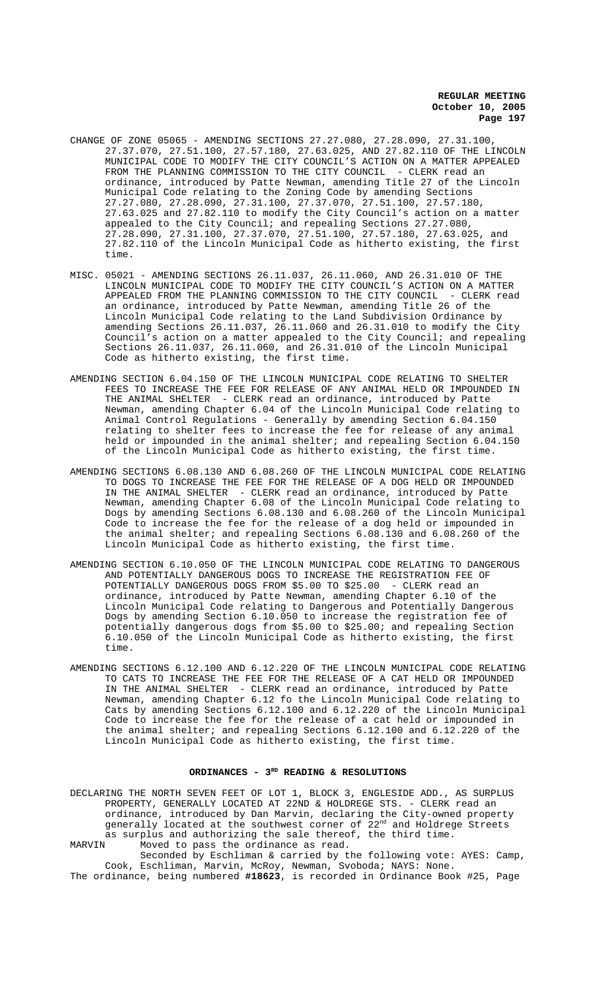- CHANGE OF ZONE 05065 AMENDING SECTIONS 27.27.080, 27.28.090, 27.31.100, 27.37.070, 27.51.100, 27.57.180, 27.63.025, AND 27.82.110 OF THE LINCOLN MUNICIPAL CODE TO MODIFY THE CITY COUNCIL'S ACTION ON A MATTER APPEALED FROM THE PLANNING COMMISSION TO THE CITY COUNCIL - CLERK read an ordinance, introduced by Patte Newman, amending Title 27 of the Lincoln Municipal Code relating to the Zoning Code by amending Sections 27.27.080, 27.28.090, 27.31.100, 27.37.070, 27.51.100, 27.57.180, 27.63.025 and 27.82.110 to modify the City Council's action on a matter appealed to the City Council; and repealing Sections 27.27.080, 27.28.090, 27.31.100, 27.37.070, 27.51.100, 27.57.180, 27.63.025, and 27.82.110 of the Lincoln Municipal Code as hitherto existing, the first time.
- MISC. 05021 AMENDING SECTIONS 26.11.037, 26.11.060, AND 26.31.010 OF THE LINCOLN MUNICIPAL CODE TO MODIFY THE CITY COUNCIL'S ACTION ON A MATTER APPEALED FROM THE PLANNING COMMISSION TO THE CITY COUNCIL - CLERK read an ordinance, introduced by Patte Newman, amending Title 26 of the Lincoln Municipal Code relating to the Land Subdivision Ordinance by amending Sections 26.11.037, 26.11.060 and 26.31.010 to modify the City Council's action on a matter appealed to the City Council; and repealing Sections 26.11.037, 26.11.060, and 26.31.010 of the Lincoln Municipal Code as hitherto existing, the first time.
- AMENDING SECTION 6.04.150 OF THE LINCOLN MUNICIPAL CODE RELATING TO SHELTER FEES TO INCREASE THE FEE FOR RELEASE OF ANY ANIMAL HELD OR IMPOUNDED IN THE ANIMAL SHELTER - CLERK read an ordinance, introduced by Patte Newman, amending Chapter 6.04 of the Lincoln Municipal Code relating to Animal Control Regulations - Generally by amending Section 6.04.150 relating to shelter fees to increase the fee for release of any animal held or impounded in the animal shelter; and repealing Section 6.04.150 of the Lincoln Municipal Code as hitherto existing, the first time.
- AMENDING SECTIONS 6.08.130 AND 6.08.260 OF THE LINCOLN MUNICIPAL CODE RELATING TO DOGS TO INCREASE THE FEE FOR THE RELEASE OF A DOG HELD OR IMPOUNDED IN THE ANIMAL SHELTER - CLERK read an ordinance, introduced by Patte Newman, amending Chapter 6.08 of the Lincoln Municipal Code relating to Dogs by amending Sections 6.08.130 and 6.08.260 of the Lincoln Municipal Code to increase the fee for the release of a dog held or impounded in the animal shelter; and repealing Sections 6.08.130 and 6.08.260 of the Lincoln Municipal Code as hitherto existing, the first time.
- AMENDING SECTION 6.10.050 OF THE LINCOLN MUNICIPAL CODE RELATING TO DANGEROUS AND POTENTIALLY DANGEROUS DOGS TO INCREASE THE REGISTRATION FEE OF POTENTIALLY DANGEROUS DOGS FROM \$5.00 TO \$25.00 - CLERK read an ordinance, introduced by Patte Newman, amending Chapter 6.10 of the Lincoln Municipal Code relating to Dangerous and Potentially Dangerous Dogs by amending Section 6.10.050 to increase the registration fee of potentially dangerous dogs from \$5.00 to \$25.00; and repealing Section 6.10.050 of the Lincoln Municipal Code as hitherto existing, the first time.
- AMENDING SECTIONS 6.12.100 AND 6.12.220 OF THE LINCOLN MUNICIPAL CODE RELATING TO CATS TO INCREASE THE FEE FOR THE RELEASE OF A CAT HELD OR IMPOUNDED IN THE ANIMAL SHELTER - CLERK read an ordinance, introduced by Patte Newman, amending Chapter 6.12 fo the Lincoln Municipal Code relating to Cats by amending Sections 6.12.100 and 6.12.220 of the Lincoln Municipal Code to increase the fee for the release of a cat held or impounded in the animal shelter; and repealing Sections 6.12.100 and 6.12.220 of the Lincoln Municipal Code as hitherto existing, the first time.

## ORDINANCES - 3<sup>RD</sup> READING & RESOLUTIONS

DECLARING THE NORTH SEVEN FEET OF LOT 1, BLOCK 3, ENGLESIDE ADD., AS SURPLUS PROPERTY, GENERALLY LOCATED AT 22ND & HOLDREGE STS. - CLERK read an ordinance, introduced by Dan Marvin, declaring the City-owned property generally located at the southwest corner of 22<sup>nd</sup> and Holdrege Streets as surplus and authorizing the sale thereof, the third time. MARVIN Moved to pass the ordinance as read.

Seconded by Eschliman & carried by the following vote: AYES: Camp, Cook, Eschliman, Marvin, McRoy, Newman, Svoboda; NAYS: None. The ordinance, being numbered **#18623**, is recorded in Ordinance Book #25, Page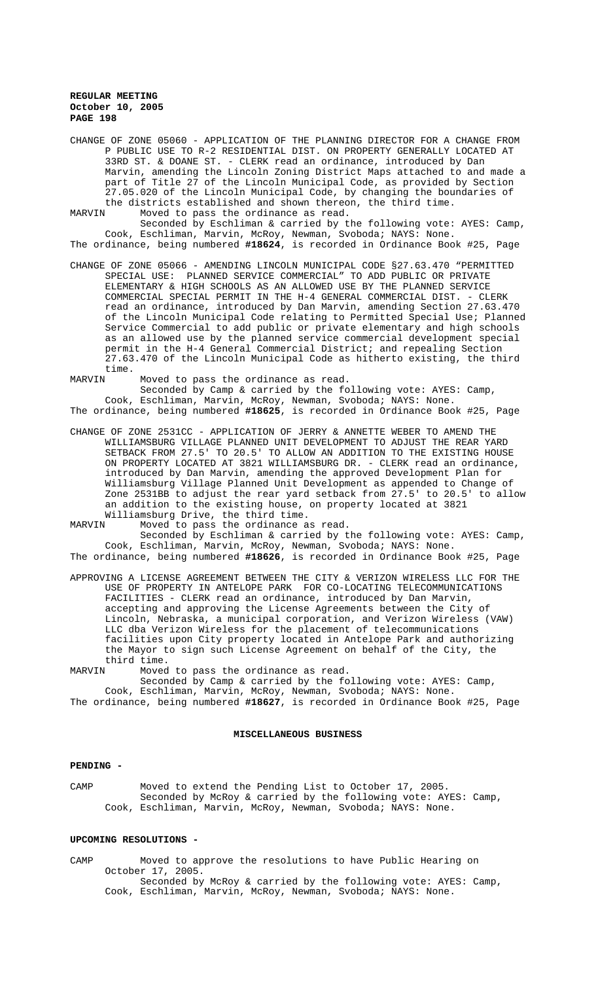CHANGE OF ZONE 05060 - APPLICATION OF THE PLANNING DIRECTOR FOR A CHANGE FROM P PUBLIC USE TO R-2 RESIDENTIAL DIST. ON PROPERTY GENERALLY LOCATED AT 33RD ST. & DOANE ST. - CLERK read an ordinance, introduced by Dan Marvin, amending the Lincoln Zoning District Maps attached to and made a part of Title 27 of the Lincoln Municipal Code, as provided by Section 27.05.020 of the Lincoln Municipal Code, by changing the boundaries of the districts established and shown thereon, the third time.<br>MARVIN Moved to pass the ordinance as read. Moved to pass the ordinance as read.

Seconded by Eschliman & carried by the following vote: AYES: Camp,

Cook, Eschliman, Marvin, McRoy, Newman, Svoboda; NAYS: None. The ordinance, being numbered **#18624**, is recorded in Ordinance Book #25, Page

CHANGE OF ZONE 05066 - AMENDING LINCOLN MUNICIPAL CODE §27.63.470 "PERMITTED SPECIAL USE: PLANNED SERVICE COMMERCIAL" TO ADD PUBLIC OR PRIVATE ELEMENTARY & HIGH SCHOOLS AS AN ALLOWED USE BY THE PLANNED SERVICE COMMERCIAL SPECIAL PERMIT IN THE H-4 GENERAL COMMERCIAL DIST. - CLERK read an ordinance, introduced by Dan Marvin, amending Section 27.63.470 of the Lincoln Municipal Code relating to Permitted Special Use; Planned Service Commercial to add public or private elementary and high schools as an allowed use by the planned service commercial development special permit in the H-4 General Commercial District; and repealing Section 27.63.470 of the Lincoln Municipal Code as hitherto existing, the third time.<br>MARVIN

Moved to pass the ordinance as read.

Seconded by Camp & carried by the following vote: AYES: Camp, Cook, Eschliman, Marvin, McRoy, Newman, Svoboda; NAYS: None. The ordinance, being numbered **#18625**, is recorded in Ordinance Book #25, Page

CHANGE OF ZONE 2531CC - APPLICATION OF JERRY & ANNETTE WEBER TO AMEND THE WILLIAMSBURG VILLAGE PLANNED UNIT DEVELOPMENT TO ADJUST THE REAR YARD SETBACK FROM 27.5' TO 20.5' TO ALLOW AN ADDITION TO THE EXISTING HOUSE ON PROPERTY LOCATED AT 3821 WILLIAMSBURG DR. - CLERK read an ordinance, introduced by Dan Marvin, amending the approved Development Plan for Williamsburg Village Planned Unit Development as appended to Change of Zone 2531BB to adjust the rear yard setback from 27.5' to 20.5' to allow an addition to the existing house, on property located at 3821

Williamsburg Drive, the third time.<br>MARVIN Moved to pass the ordinance as Moved to pass the ordinance as read.

Seconded by Eschliman & carried by the following vote: AYES: Camp, Cook, Eschliman, Marvin, McRoy, Newman, Svoboda; NAYS: None. The ordinance, being numbered **#18626**, is recorded in Ordinance Book #25, Page

- APPROVING A LICENSE AGREEMENT BETWEEN THE CITY & VERIZON WIRELESS LLC FOR THE USE OF PROPERTY IN ANTELOPE PARK FOR CO-LOCATING TELECOMMUNICATIONS FACILITIES - CLERK read an ordinance, introduced by Dan Marvin, accepting and approving the License Agreements between the City of Lincoln, Nebraska, a municipal corporation, and Verizon Wireless (VAW) LLC dba Verizon Wireless for the placement of telecommunications facilities upon City property located in Antelope Park and authorizing the Mayor to sign such License Agreement on behalf of the City, the third time.<br>MARVIN Moved
- Moved to pass the ordinance as read.

Seconded by Camp & carried by the following vote: AYES: Camp, Cook, Eschliman, Marvin, McRoy, Newman, Svoboda; NAYS: None.

The ordinance, being numbered **#18627**, is recorded in Ordinance Book #25, Page

# **MISCELLANEOUS BUSINESS**

## **PENDING -**

CAMP Moved to extend the Pending List to October 17, 2005. Seconded by McRoy & carried by the following vote: AYES: Camp, Cook, Eschliman, Marvin, McRoy, Newman, Svoboda; NAYS: None.

### **UPCOMING RESOLUTIONS -**

CAMP Moved to approve the resolutions to have Public Hearing on October 17, 2005.

Seconded by McRoy & carried by the following vote: AYES: Camp, Cook, Eschliman, Marvin, McRoy, Newman, Svoboda; NAYS: None.